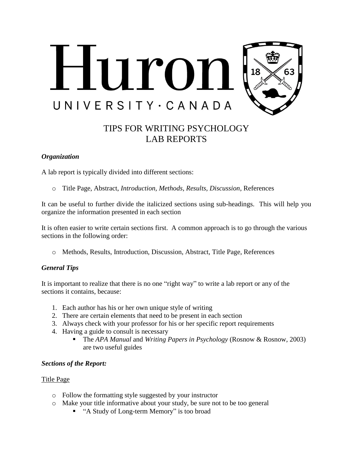

# TIPS FOR WRITING PSYCHOLOGY LAB REPORTS

#### *Organization*

A lab report is typically divided into different sections:

o Title Page, Abstract, *Introduction, Methods, Results, Discussion*, References

It can be useful to further divide the italicized sections using sub-headings. This will help you organize the information presented in each section

It is often easier to write certain sections first. A common approach is to go through the various sections in the following order:

o Methods, Results, Introduction, Discussion, Abstract, Title Page, References

## *General Tips*

It is important to realize that there is no one "right way" to write a lab report or any of the sections it contains, because:

- 1. Each author has his or her own unique style of writing
- 2. There are certain elements that need to be present in each section
- 3. Always check with your professor for his or her specific report requirements
- 4. Having a guide to consult is necessary
	- The *APA Manual* and *Writing Papers in Psychology* (Rosnow & Rosnow, 2003) are two useful guides

## *Sections of the Report:*

#### Title Page

- o Follow the formatting style suggested by your instructor
- o Make your title informative about your study, be sure not to be too general
	- "A Study of Long-term Memory" is too broad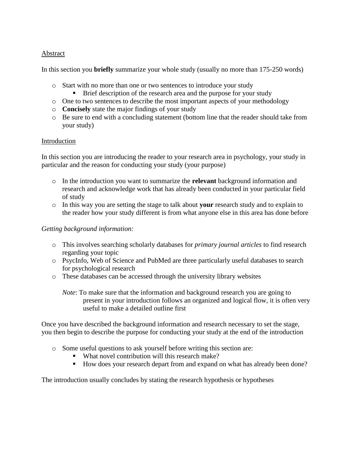## Abstract

In this section you **briefly** summarize your whole study (usually no more than 175-250 words)

- o Start with no more than one or two sentences to introduce your study
	- **Brief description of the research area and the purpose for your study**
- o One to two sentences to describe the most important aspects of your methodology
- o **Concisely** state the major findings of your study
- o Be sure to end with a concluding statement (bottom line that the reader should take from your study)

## Introduction

In this section you are introducing the reader to your research area in psychology, your study in particular and the reason for conducting your study (your purpose)

- o In the introduction you want to summarize the **relevant** background information and research and acknowledge work that has already been conducted in your particular field of study
- o In this way you are setting the stage to talk about **your** research study and to explain to the reader how your study different is from what anyone else in this area has done before

## *Getting background information:*

- o This involves searching scholarly databases for *primary journal articles* to find research regarding your topic
- o PsycInfo, Web of Science and PubMed are three particularly useful databases to search for psychological research
- o These databases can be accessed through the university library websites

*Note*: To make sure that the information and background research you are going to present in your introduction follows an organized and logical flow, it is often very useful to make a detailed outline first

Once you have described the background information and research necessary to set the stage, you then begin to describe the purpose for conducting your study at the end of the introduction

- o Some useful questions to ask yourself before writing this section are:
	- What novel contribution will this research make?
	- How does your research depart from and expand on what has already been done?

The introduction usually concludes by stating the research hypothesis or hypotheses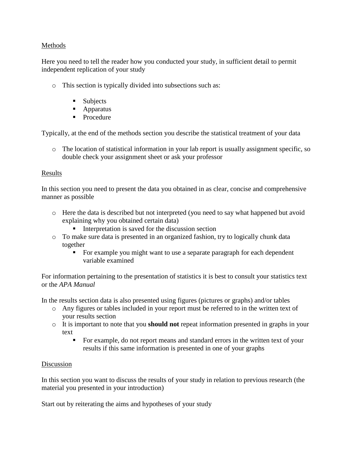## Methods

Here you need to tell the reader how you conducted your study, in sufficient detail to permit independent replication of your study

- o This section is typically divided into subsections such as:
	- **Subjects**
	- Apparatus
	- Procedure

Typically, at the end of the methods section you describe the statistical treatment of your data

o The location of statistical information in your lab report is usually assignment specific, so double check your assignment sheet or ask your professor

# Results

In this section you need to present the data you obtained in as clear, concise and comprehensive manner as possible

- o Here the data is described but not interpreted (you need to say what happened but avoid explaining why you obtained certain data)
	- Interpretation is saved for the discussion section
- o To make sure data is presented in an organized fashion, try to logically chunk data together
	- For example you might want to use a separate paragraph for each dependent variable examined

For information pertaining to the presentation of statistics it is best to consult your statistics text or the *APA Manual*

In the results section data is also presented using figures (pictures or graphs) and/or tables

- o Any figures or tables included in your report must be referred to in the written text of your results section
- o It is important to note that you **should not** repeat information presented in graphs in your text
	- For example, do not report means and standard errors in the written text of your results if this same information is presented in one of your graphs

# Discussion

In this section you want to discuss the results of your study in relation to previous research (the material you presented in your introduction)

Start out by reiterating the aims and hypotheses of your study